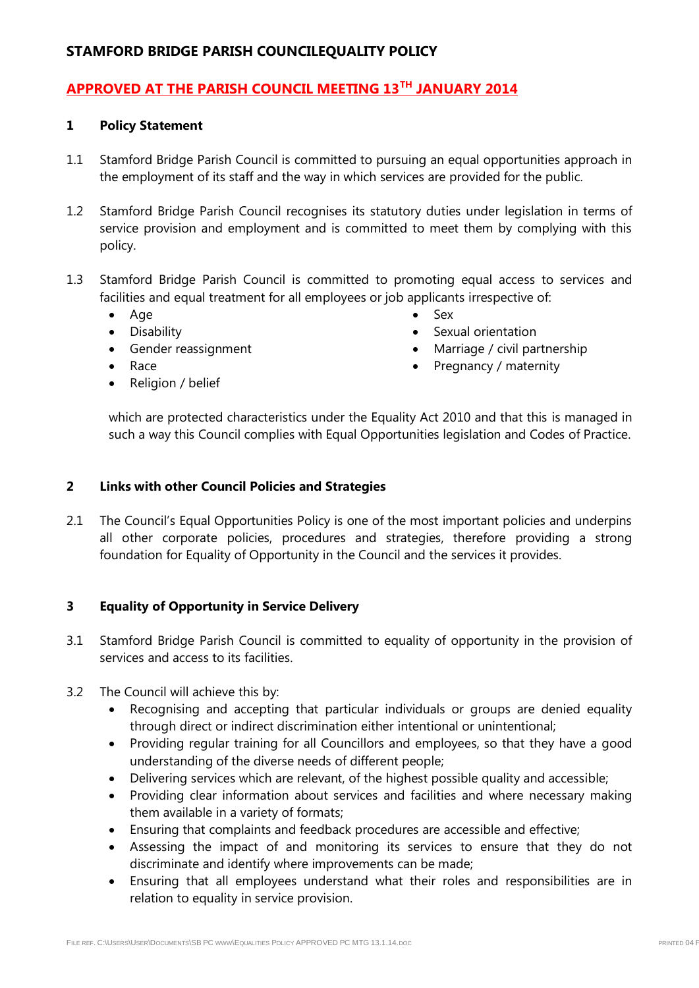## **APPROVED AT THE PARISH COUNCIL MEETING 13TH JANUARY 2014**

#### **1 Policy Statement**

- 1.1 Stamford Bridge Parish Council is committed to pursuing an equal opportunities approach in the employment of its staff and the way in which services are provided for the public.
- 1.2 Stamford Bridge Parish Council recognises its statutory duties under legislation in terms of service provision and employment and is committed to meet them by complying with this policy.
- 1.3 Stamford Bridge Parish Council is committed to promoting equal access to services and facilities and equal treatment for all employees or job applicants irrespective of:
	- Age
	- **•** Disability
	- Gender reassignment
	- Race
	- Religion / belief
- Sex
- Sexual orientation
- Marriage / civil partnership
- Pregnancy / maternity

which are protected characteristics under the Equality Act 2010 and that this is managed in such a way this Council complies with Equal Opportunities legislation and Codes of Practice.

#### **2 Links with other Council Policies and Strategies**

2.1 The Council's Equal Opportunities Policy is one of the most important policies and underpins all other corporate policies, procedures and strategies, therefore providing a strong foundation for Equality of Opportunity in the Council and the services it provides.

### **3 Equality of Opportunity in Service Delivery**

- 3.1 Stamford Bridge Parish Council is committed to equality of opportunity in the provision of services and access to its facilities.
- 3.2 The Council will achieve this by:
	- Recognising and accepting that particular individuals or groups are denied equality through direct or indirect discrimination either intentional or unintentional;
	- Providing regular training for all Councillors and employees, so that they have a good understanding of the diverse needs of different people;
	- Delivering services which are relevant, of the highest possible quality and accessible;
	- Providing clear information about services and facilities and where necessary making them available in a variety of formats;
	- Ensuring that complaints and feedback procedures are accessible and effective;
	- Assessing the impact of and monitoring its services to ensure that they do not discriminate and identify where improvements can be made;
	- Ensuring that all employees understand what their roles and responsibilities are in relation to equality in service provision.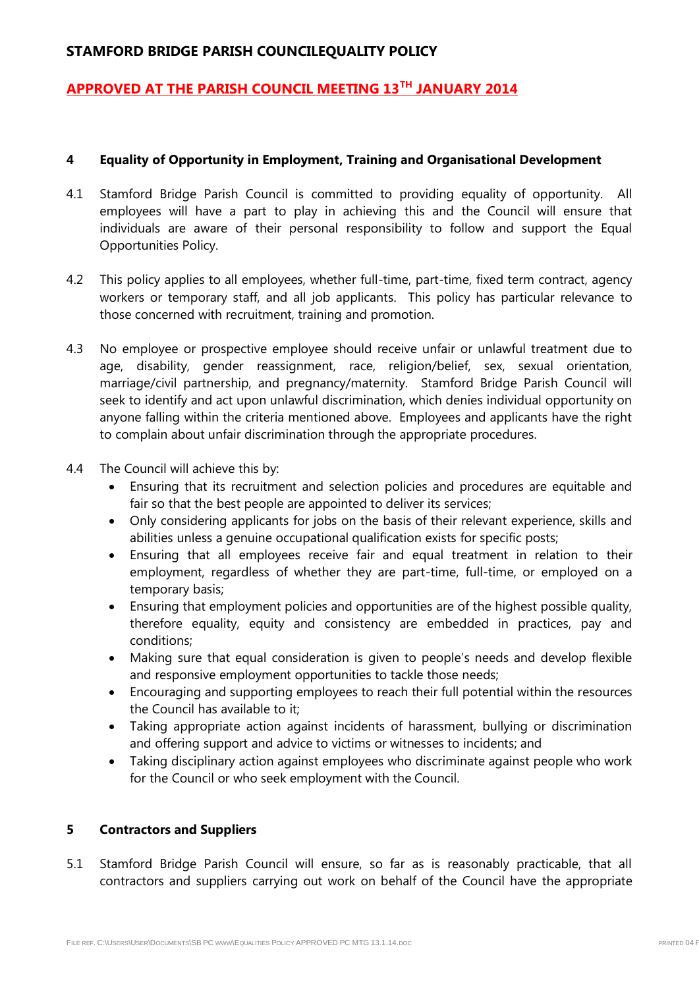### **APPROVED AT THE PARISH COUNCIL MEETING 13TH JANUARY 2014**

#### **4 Equality of Opportunity in Employment, Training and Organisational Development**

- 4.1 Stamford Bridge Parish Council is committed to providing equality of opportunity. All employees will have a part to play in achieving this and the Council will ensure that individuals are aware of their personal responsibility to follow and support the Equal Opportunities Policy.
- 4.2 This policy applies to all employees, whether full-time, part-time, fixed term contract, agency workers or temporary staff, and all job applicants. This policy has particular relevance to those concerned with recruitment, training and promotion.
- 4.3 No employee or prospective employee should receive unfair or unlawful treatment due to age, disability, gender reassignment, race, religion/belief, sex, sexual orientation, marriage/civil partnership, and pregnancy/maternity. Stamford Bridge Parish Council will seek to identify and act upon unlawful discrimination, which denies individual opportunity on anyone falling within the criteria mentioned above. Employees and applicants have the right to complain about unfair discrimination through the appropriate procedures.
- 4.4 The Council will achieve this by:
	- Ensuring that its recruitment and selection policies and procedures are equitable and fair so that the best people are appointed to deliver its services;
	- Only considering applicants for jobs on the basis of their relevant experience, skills and abilities unless a genuine occupational qualification exists for specific posts;
	- Ensuring that all employees receive fair and equal treatment in relation to their employment, regardless of whether they are part-time, full-time, or employed on a temporary basis;
	- Ensuring that employment policies and opportunities are of the highest possible quality, therefore equality, equity and consistency are embedded in practices, pay and conditions;
	- Making sure that equal consideration is given to people's needs and develop flexible and responsive employment opportunities to tackle those needs;
	- Encouraging and supporting employees to reach their full potential within the resources the Council has available to it;
	- Taking appropriate action against incidents of harassment, bullying or discrimination and offering support and advice to victims or witnesses to incidents; and
	- Taking disciplinary action against employees who discriminate against people who work for the Council or who seek employment with the Council.

### **5 Contractors and Suppliers**

5.1 Stamford Bridge Parish Council will ensure, so far as is reasonably practicable, that all contractors and suppliers carrying out work on behalf of the Council have the appropriate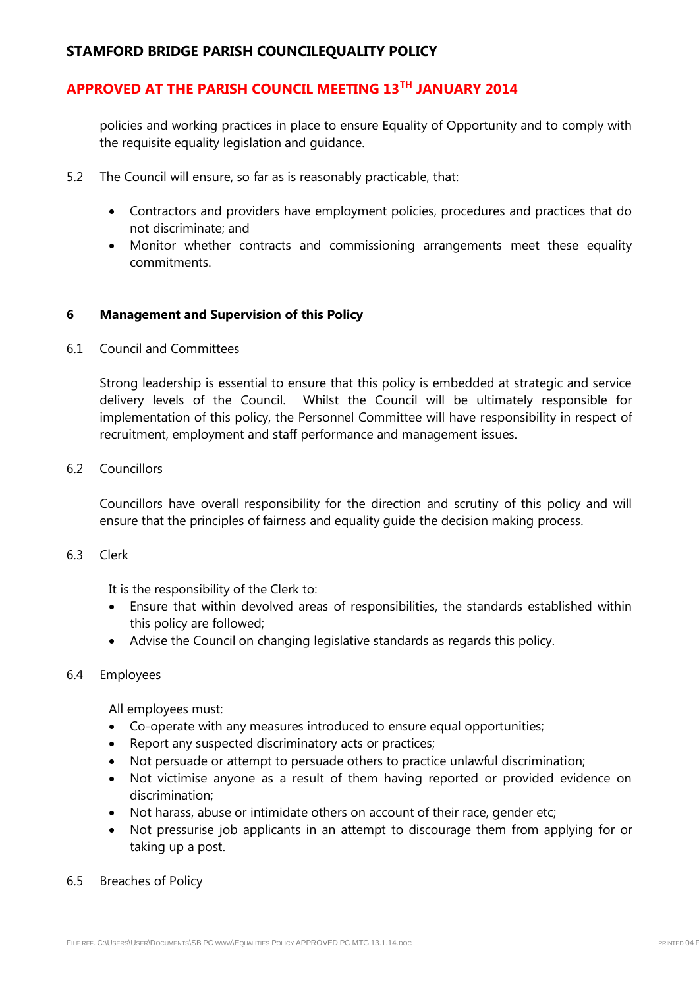## **APPROVED AT THE PARISH COUNCIL MEETING 13TH JANUARY 2014**

policies and working practices in place to ensure Equality of Opportunity and to comply with the requisite equality legislation and guidance.

- 5.2 The Council will ensure, so far as is reasonably practicable, that:
	- Contractors and providers have employment policies, procedures and practices that do not discriminate; and
	- Monitor whether contracts and commissioning arrangements meet these equality commitments.

#### **6 Management and Supervision of this Policy**

#### 6.1 Council and Committees

Strong leadership is essential to ensure that this policy is embedded at strategic and service delivery levels of the Council. Whilst the Council will be ultimately responsible for implementation of this policy, the Personnel Committee will have responsibility in respect of recruitment, employment and staff performance and management issues.

#### 6.2 Councillors

Councillors have overall responsibility for the direction and scrutiny of this policy and will ensure that the principles of fairness and equality guide the decision making process.

#### 6.3 Clerk

It is the responsibility of the Clerk to:

- Ensure that within devolved areas of responsibilities, the standards established within this policy are followed;
- Advise the Council on changing legislative standards as regards this policy.

#### 6.4 Employees

All employees must:

- Co-operate with any measures introduced to ensure equal opportunities;
- Report any suspected discriminatory acts or practices;
- Not persuade or attempt to persuade others to practice unlawful discrimination;
- Not victimise anyone as a result of them having reported or provided evidence on discrimination;
- Not harass, abuse or intimidate others on account of their race, gender etc;
- Not pressurise job applicants in an attempt to discourage them from applying for or taking up a post.
- 6.5 Breaches of Policy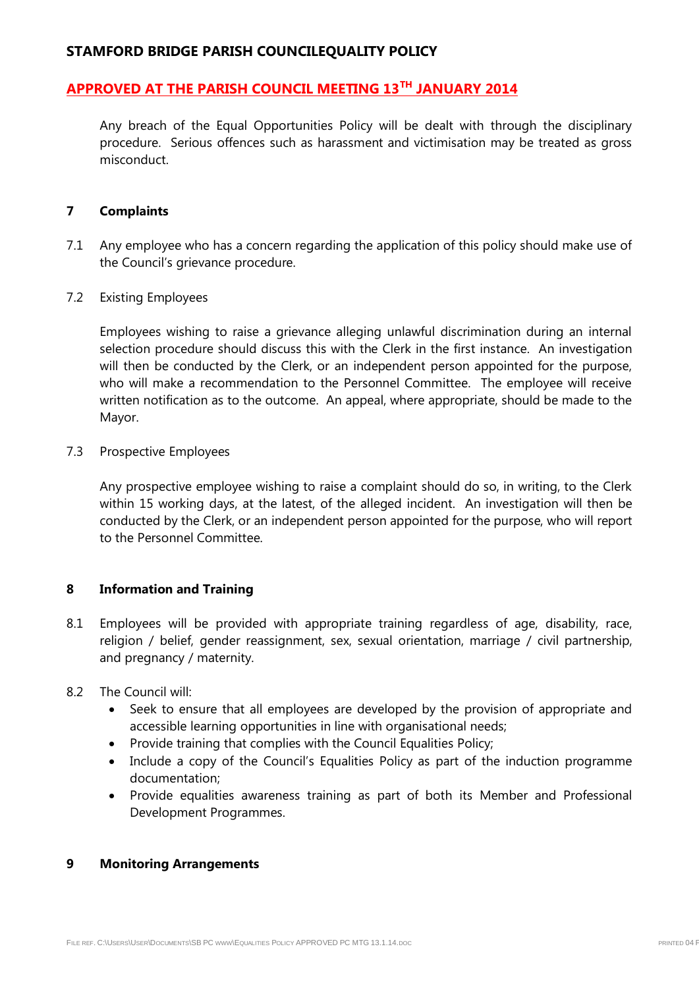### **APPROVED AT THE PARISH COUNCIL MEETING 13TH JANUARY 2014**

Any breach of the Equal Opportunities Policy will be dealt with through the disciplinary procedure. Serious offences such as harassment and victimisation may be treated as gross misconduct.

#### **7 Complaints**

- 7.1 Any employee who has a concern regarding the application of this policy should make use of the Council's grievance procedure.
- 7.2 Existing Employees

Employees wishing to raise a grievance alleging unlawful discrimination during an internal selection procedure should discuss this with the Clerk in the first instance. An investigation will then be conducted by the Clerk, or an independent person appointed for the purpose, who will make a recommendation to the Personnel Committee. The employee will receive written notification as to the outcome. An appeal, where appropriate, should be made to the Mayor.

7.3 Prospective Employees

Any prospective employee wishing to raise a complaint should do so, in writing, to the Clerk within 15 working days, at the latest, of the alleged incident. An investigation will then be conducted by the Clerk, or an independent person appointed for the purpose, who will report to the Personnel Committee.

### **8 Information and Training**

- 8.1 Employees will be provided with appropriate training regardless of age, disability, race, religion / belief, gender reassignment, sex, sexual orientation, marriage / civil partnership, and pregnancy / maternity.
- 8.2 The Council will:
	- Seek to ensure that all employees are developed by the provision of appropriate and accessible learning opportunities in line with organisational needs;
	- Provide training that complies with the Council Equalities Policy;
	- Include a copy of the Council's Equalities Policy as part of the induction programme documentation;
	- Provide equalities awareness training as part of both its Member and Professional Development Programmes.

#### **9 Monitoring Arrangements**